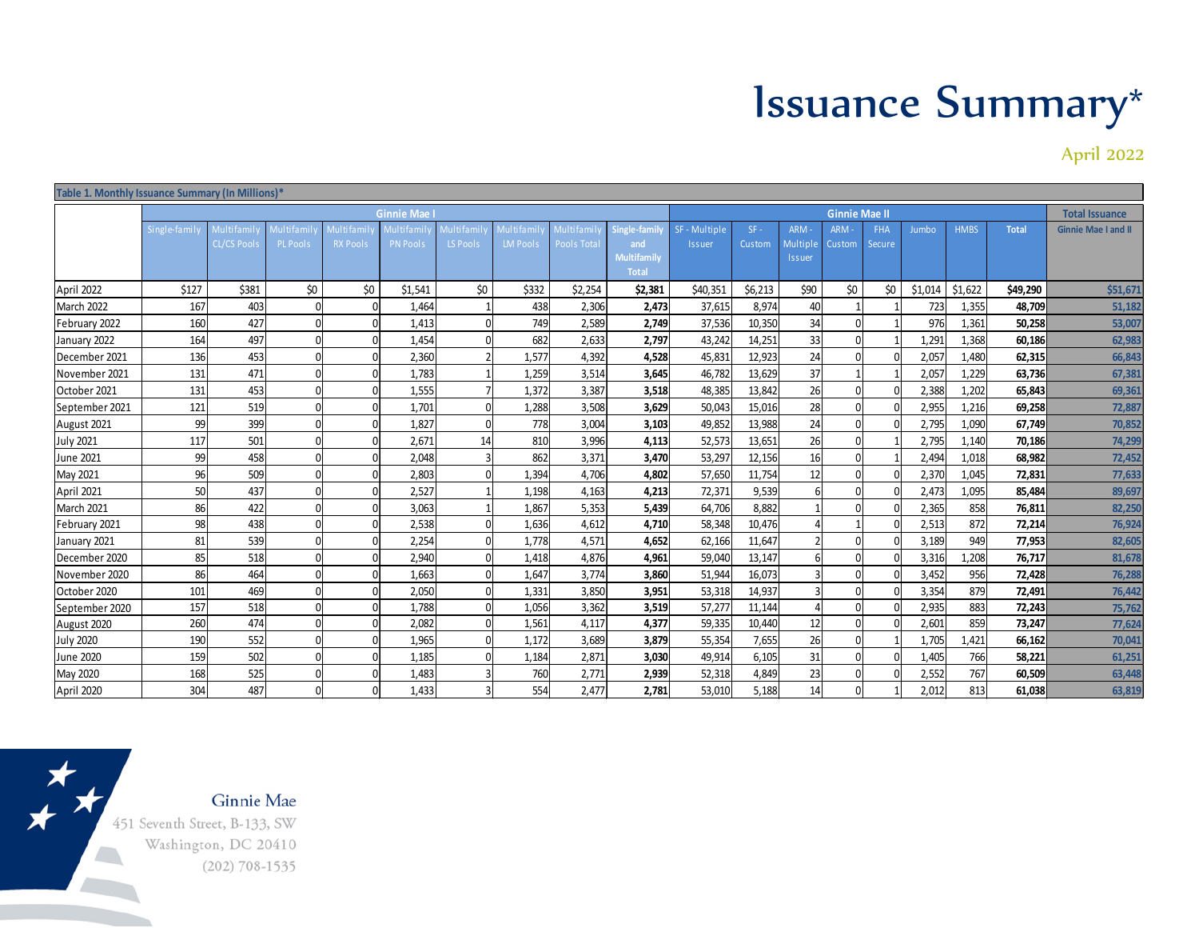## Issuance Summary\*

April 2022

|                  |              |                                  |                               |                               |                              |                              |                                     |                               | Table 1. Monthly Issuance Summary (In Millions)*           |                                |                  |                            |                       |                      |         |                       |              |                            |  |  |  |  |
|------------------|--------------|----------------------------------|-------------------------------|-------------------------------|------------------------------|------------------------------|-------------------------------------|-------------------------------|------------------------------------------------------------|--------------------------------|------------------|----------------------------|-----------------------|----------------------|---------|-----------------------|--------------|----------------------------|--|--|--|--|
|                  | Ginnie Mae   |                                  |                               |                               |                              |                              |                                     |                               | <b>Ginnie Mae II</b>                                       |                                |                  |                            |                       |                      |         | <b>Total Issuance</b> |              |                            |  |  |  |  |
|                  | Single-famil | Multifamil<br><b>CL/CS Pools</b> | 1ultifamil<br><b>PL Pools</b> | Multi fami<br><b>RX Pools</b> | Multifami<br><b>PN Pools</b> | <b>Multifami</b><br>LS Pools | <b>Aultifami</b><br><b>LM Pools</b> | 1ul ti fa mi l<br>Pools Total | Single-family<br>and<br><b>Multifamily</b><br><b>Total</b> | SF - Multiple<br><b>Issuer</b> | $SF -$<br>Custom | ARM-<br>Multiple<br>Issuer | ARM-<br><b>Custom</b> | <b>FHA</b><br>Secure | Jumbo   | <b>HMBS</b>           | <b>Total</b> | <b>Ginnie Mae I and II</b> |  |  |  |  |
| April 2022       | \$127        | \$381                            | \$0                           | \$0                           | \$1,541                      | \$0                          | \$332                               | \$2,254                       | \$2,381                                                    | \$40,351                       | \$6,213          | \$90                       | \$0                   | \$0                  | \$1,014 | \$1,622               | \$49,290     | \$51,671                   |  |  |  |  |
| March 2022       | 167          | 403                              |                               |                               | 1,464                        |                              | 438                                 | 2,306                         | 2,473                                                      | 37,615                         | 8,974            | 40                         |                       |                      | 723     | 1,355                 | 48.709       | 51,182                     |  |  |  |  |
| February 2022    | 160          | 427                              |                               |                               | 1,413                        |                              | 749                                 | 2,589                         | 2,749                                                      | 37,536                         | 10,350           | 34                         |                       |                      | 976     | 1,361                 | 50,258       | 53,007                     |  |  |  |  |
| January 2022     | 164          | 497                              | $\Omega$                      | ŋ                             | 1,454                        |                              | 682                                 | 2,633                         | 2,797                                                      | 43,242                         | 14,251           | 33                         |                       |                      | 1,291   | 1,368                 | 60,186       | 62,983                     |  |  |  |  |
| December 2021    | 136          | 453                              | $\Omega$                      | $\Omega$                      | 2,360                        |                              | 1.577                               | 4.392                         | 4.528                                                      | 45,831                         | 12,923           | 24                         |                       |                      | 2,057   | 1,480                 | 62,315       | 66,843                     |  |  |  |  |
| November 2021    | 131          | 471                              | $\Omega$                      | 0                             | 1,783                        |                              | 1,259                               | 3,514                         | 3,645                                                      | 46,782                         | 13,629           | 37                         |                       |                      | 2,057   | 1.229                 | 63,736       | 67,381                     |  |  |  |  |
| October 2021     | 131          | 453                              | $\Omega$                      |                               | 1,555                        |                              | 1,372                               | 3,387                         | 3.518                                                      | 48,385                         | 13.842           | 26                         |                       |                      | 2,388   | 1.202                 | 65,843       | 69,361                     |  |  |  |  |
| September 2021   | 121          | 519                              | $\Omega$                      | 0                             | 1,701                        |                              | 1,288                               | 3,508                         | 3,629                                                      | 50,043                         | 15,016           | 28                         |                       |                      | 2,955   | 1,216                 | 69,258       | 72,887                     |  |  |  |  |
| August 2021      | 99           | 399                              | $\Omega$                      | $\Omega$                      | 1,827                        |                              | 778                                 | 3,004                         | 3,103                                                      | 49,852                         | 13,988           | 24                         |                       |                      | 2,795   | 1,090                 | 67,749       | 70,852                     |  |  |  |  |
| <b>July 2021</b> | 117          | 501                              | $\Omega$                      | 0                             | 2,671                        | 14                           | 810                                 | 3,996                         | 4,113                                                      | 52,573                         | 13,651           | 26                         |                       |                      | 2,795   | 1,140                 | 70,186       | 74,299                     |  |  |  |  |
| June 2021        | 99           | 458                              | $\Omega$                      |                               | 2,048                        |                              | 862                                 | 3,371                         | 3,470                                                      | 53,297                         | 12,156           | 16                         |                       |                      | 2,494   | 1,018                 | 68,982       | 72,452                     |  |  |  |  |
| May 2021         | 96           | 509                              | $\Omega$                      | $\Omega$                      | 2,803                        |                              | 1,394                               | 4.706                         | 4,802                                                      | 57,650                         | 11,754           | 12                         |                       |                      | 2,370   | 1,045                 | 72,831       | 77,633                     |  |  |  |  |
| April 2021       | 50           | 437                              | $\Omega$                      | $\Omega$                      | 2,527                        |                              | 1,198                               | 4,163                         | 4,213                                                      | 72,371                         | 9,539            |                            |                       |                      | 2,473   | 1,095                 | 85,484       | 89,697                     |  |  |  |  |
| March 2021       | 86           | 422                              | $\Omega$                      | $\Omega$                      | 3,063                        |                              | 1,867                               | 5,353                         | 5,439                                                      | 64,706                         | 8,882            |                            |                       |                      | 2,365   | 858                   | 76,811       | 82,250                     |  |  |  |  |
| February 2021    | 98           | 438                              |                               |                               | 2,538                        |                              | 1,636                               | 4.612                         | 4.710                                                      | 58,348                         | 10.476           |                            |                       |                      | 2,513   | 872                   | 72.214       | 76,924                     |  |  |  |  |
| January 2021     | 81           | 539                              | $\Omega$                      |                               | 2,254                        |                              | 1,778                               | 4,571                         | 4,652                                                      | 62,166                         | 11,647           |                            |                       |                      | 3,189   | 949                   | 77,953       | 82,605                     |  |  |  |  |
| December 2020    | 85           | 518                              | $\Omega$                      |                               | 2,940                        |                              | 1,418                               | 4,876                         | 4,961                                                      | 59,040                         | 13,147           |                            |                       |                      | 3,316   | 1,208                 | 76,717       | 81,678                     |  |  |  |  |
| November 2020    | 86           | 464                              | n                             | O                             | 1,663                        |                              | 1,647                               | 3,774                         | 3,860                                                      | 51,944                         | 16,073           |                            |                       |                      | 3,452   | 956                   | 72,428       | 76,288                     |  |  |  |  |
| October 2020     | 101          | 469                              | $\Omega$                      | $\Omega$                      | 2,050                        |                              | 1,331                               | 3,850                         | 3,951                                                      | 53,318                         | 14,937           |                            |                       |                      | 3,354   | 879                   | 72,491       | 76,442                     |  |  |  |  |
| September 2020   | 157          | 518                              | $\Omega$                      | n                             | 1,788                        |                              | 1,056                               | 3,362                         | 3,519                                                      | 57,277                         | 11,144           |                            |                       |                      | 2,935   | 883                   | 72,243       | 75,762                     |  |  |  |  |
| August 2020      | 260          | 474                              | $\Omega$                      | n                             | 2,082                        |                              | 1,561                               | 4,117                         | 4,377                                                      | 59,335                         | 10,440           | 12                         |                       |                      | 2,601   | 859                   | 73,247       | 77,624                     |  |  |  |  |
| <b>July 2020</b> | 190          | 552                              | $\Omega$                      | O                             | 1,965                        |                              | 1,172                               | 3,689                         | 3,879                                                      | 55,354                         | 7,655            | 26                         |                       |                      | 1,705   | 1,421                 | 66,162       | 70,041                     |  |  |  |  |
| June 2020        | 159          | 502                              | n                             |                               | 1,185                        |                              | 1,184                               | 2,871                         | 3,030                                                      | 49,914                         | 6,105            | 31                         |                       |                      | 1,405   | 766                   | 58,221       | 61,251                     |  |  |  |  |
| May 2020         | 168          | 525                              | $\Omega$                      |                               | 1,483                        |                              | 760                                 | 2,771                         | 2,939                                                      | 52,318                         | 4,849            | 23                         |                       |                      | 2,552   | 767                   | 60,509       | 63,448                     |  |  |  |  |
| April 2020       | 304          | 487                              | $\Omega$                      |                               | 1,433                        |                              | 554                                 | 2,477                         | 2,781                                                      | 53,010                         | 5,188            | 14                         |                       |                      | 2,012   | 813                   | 61,038       | 63,819                     |  |  |  |  |